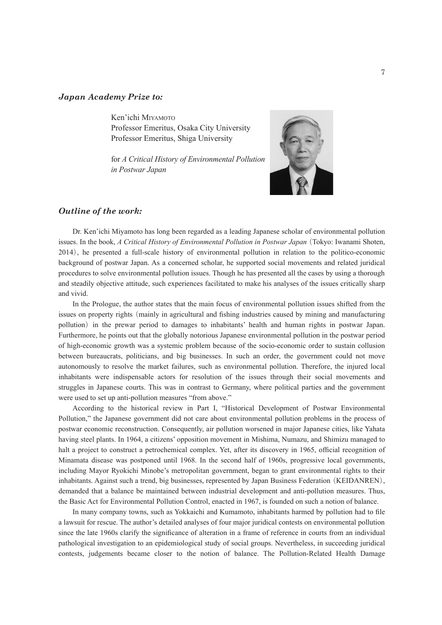## *Japan Academy Prize to:*

Ken'ichi Miyamoto Professor Emeritus, Osaka City University Professor Emeritus, Shiga University

for *A Critical History of Environmental Pollution in Postwar Japan*



## *Outline of the work:*

Dr. Ken'ichi Miyamoto has long been regarded as a leading Japanese scholar of environmental pollution issues. In the book, *A Critical History of Environmental Pollution in Postwar Japan*(Tokyo: Iwanami Shoten, 2014), he presented a full-scale history of environmental pollution in relation to the politico-economic background of postwar Japan. As a concerned scholar, he supported social movements and related juridical procedures to solve environmental pollution issues. Though he has presented all the cases by using a thorough and steadily objective attitude, such experiences facilitated to make his analyses of the issues critically sharp and vivid.

In the Prologue, the author states that the main focus of environmental pollution issues shifted from the issues on property rights (mainly in agricultural and fishing industries caused by mining and manufacturing pollution) in the prewar period to damages to inhabitants' health and human rights in postwar Japan. Furthermore, he points out that the globally notorious Japanese environmental pollution in the postwar period of high-economic growth was a systemic problem because of the socio-economic order to sustain collusion between bureaucrats, politicians, and big businesses. In such an order, the government could not move autonomously to resolve the market failures, such as environmental pollution. Therefore, the injured local inhabitants were indispensable actors for resolution of the issues through their social movements and struggles in Japanese courts. This was in contrast to Germany, where political parties and the government were used to set up anti-pollution measures "from above."

According to the historical review in Part I, "Historical Development of Postwar Environmental Pollution," the Japanese government did not care about environmental pollution problems in the process of postwar economic reconstruction. Consequently, air pollution worsened in major Japanese cities, like Yahata having steel plants. In 1964, a citizens' opposition movement in Mishima, Numazu, and Shimizu managed to halt a project to construct a petrochemical complex. Yet, after its discovery in 1965, official recognition of Minamata disease was postponed until 1968. In the second half of 1960s, progressive local governments, including Mayor Ryokichi Minobe's metropolitan government, began to grant environmental rights to their inhabitants. Against such a trend, big businesses, represented by Japan Business Federation (KEIDANREN), demanded that a balance be maintained between industrial development and anti-pollution measures. Thus, the Basic Act for Environmental Pollution Control, enacted in 1967, is founded on such a notion of balance.

In many company towns, such as Yokkaichi and Kumamoto, inhabitants harmed by pollution had to file a lawsuit for rescue. The author's detailed analyses of four major juridical contests on environmental pollution since the late 1960s clarify the significance of alteration in a frame of reference in courts from an individual pathological investigation to an epidemiological study of social groups. Nevertheless, in succeeding juridical contests, judgements became closer to the notion of balance. The Pollution-Related Health Damage